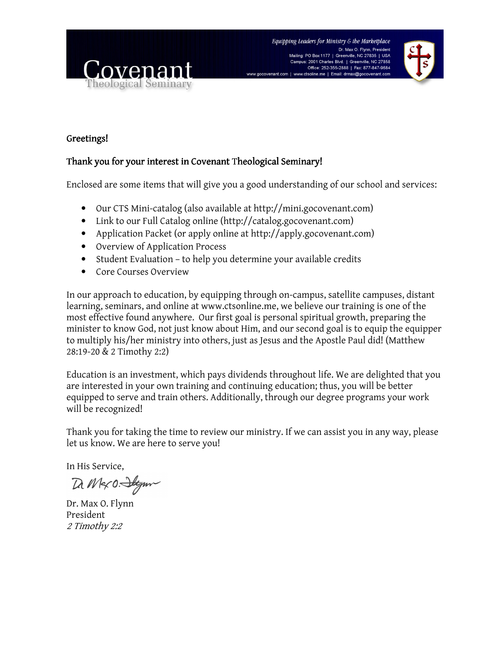



### Greetings! Greetings!

### Thank you for your interest in Covenant Theological Seminary!

Enclosed are some items that will give you a good understanding of our school and services:

- Our CTS Mini-catalog (also available at http://mini.gocovenant.com)
- Link to our Full Catalog online (http://catalog.gocovenant.com)
- Application Packet (or apply online at http://apply.gocovenant.com)
- Overview of Application Process
- Student Evaluation to help you determine your available credits
- Core Courses Overview

In our approach to education, by equipping through on-campus, satellite campuses, distant learning, seminars, and online at www.ctsonline.me, we believe our training is one of the most effective found anywhere. Our first goal is personal spiritual growth, preparing the minister to know God, not just know about Him, and our second goal is to equip the equipper to multiply his/her ministry into others, just as Jesus and the Apostle Paul did! (Matthew 28:19-20 & 2 Timothy 2:2)

Education is an investment, which pays dividends throughout life. We are delighted that you are interested in your own training and continuing education; thus, you will be better equipped to serve and train others. Additionally, through our degree programs your work will be recognized!

Thank you for taking the time to review our ministry. If we can assist you in any way, please let us know. We are here to serve you!

In His Service,

Da M&O. Stym

Dr. Max O. Flynn President 2 Timothy 2:2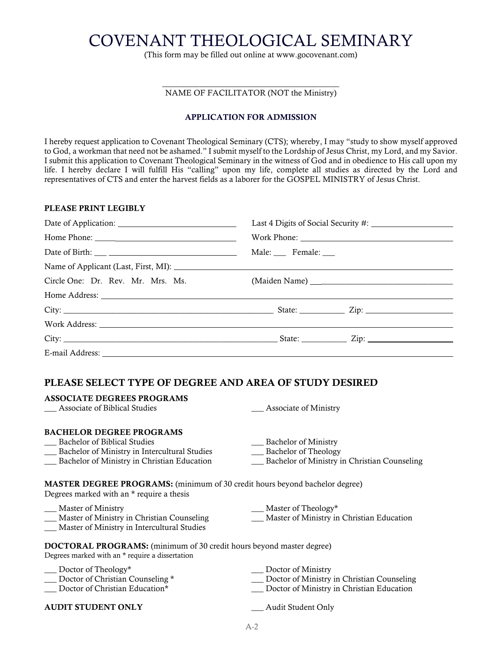# COVENANT THEOLOGICAL SEMINARY

(This form may be filled out online at www.gocovenant.com)

#### \_\_\_\_\_\_\_\_\_\_\_\_\_\_\_\_\_\_\_\_\_\_\_\_\_\_\_\_\_\_\_\_\_\_\_\_\_\_\_\_\_\_\_ NAME OF FACILITATOR (NOT the Ministry)

#### APPLICATION FOR ADMISSION

I hereby request application to Covenant Theological Seminary (CTS); whereby, I may "study to show myself approved to God, a workman that need not be ashamed." I submit myself to the Lordship of Jesus Christ, my Lord, and my Savior. I submit this application to Covenant Theological Seminary in the witness of God and in obedience to His call upon my life. I hereby declare I will fulfill His "calling" upon my life, complete all studies as directed by the Lord and representatives of CTS and enter the harvest fields as a laborer for the GOSPEL MINISTRY of Jesus Christ.

#### PLEASE PRINT LEGIBLY

| Circle One: Dr. Rev. Mr. Mrs. Ms. (Maiden Name) _________________________________ |  |  |
|-----------------------------------------------------------------------------------|--|--|
|                                                                                   |  |  |
|                                                                                   |  |  |
|                                                                                   |  |  |
|                                                                                   |  |  |
|                                                                                   |  |  |

### PLEASE SELECT TYPE OF DEGREE AND AREA OF STUDY DESIRED

| <b>ASSOCIATE DEGREES PROGRAMS</b>                                                                                               |                                              |
|---------------------------------------------------------------------------------------------------------------------------------|----------------------------------------------|
| Associate of Biblical Studies                                                                                                   | Associate of Ministry                        |
|                                                                                                                                 |                                              |
| <b>BACHELOR DEGREE PROGRAMS</b>                                                                                                 |                                              |
| Bachelor of Biblical Studies                                                                                                    | <b>Bachelor of Ministry</b>                  |
| Bachelor of Ministry in Intercultural Studies                                                                                   | Bachelor of Theology                         |
| _ Bachelor of Ministry in Christian Education                                                                                   | Bachelor of Ministry in Christian Counseling |
|                                                                                                                                 |                                              |
| <b>MASTER DEGREE PROGRAMS:</b> (minimum of 30 credit hours beyond bachelor degree)<br>Degrees marked with an * require a thesis |                                              |
| ___ Master of Ministry                                                                                                          | $\_\_\$ Master of Theology*                  |
| Master of Ministry in Christian Counseling                                                                                      | Master of Ministry in Christian Education    |
| Master of Ministry in Intercultural Studies                                                                                     |                                              |
|                                                                                                                                 |                                              |
| <b>DOCTORAL PROGRAMS:</b> (minimum of 30 credit hours beyond master degree)<br>Degrees marked with an * require a dissertation  |                                              |
| $\Delta$ Doctor of Theology*                                                                                                    | Doctor of Ministry                           |
| Doctor of Christian Counseling *                                                                                                | Doctor of Ministry in Christian Counseling   |
| Doctor of Christian Education*                                                                                                  | Doctor of Ministry in Christian Education    |
|                                                                                                                                 |                                              |
| <b>AUDIT STUDENT ONLY</b>                                                                                                       | _ Audit Student Only                         |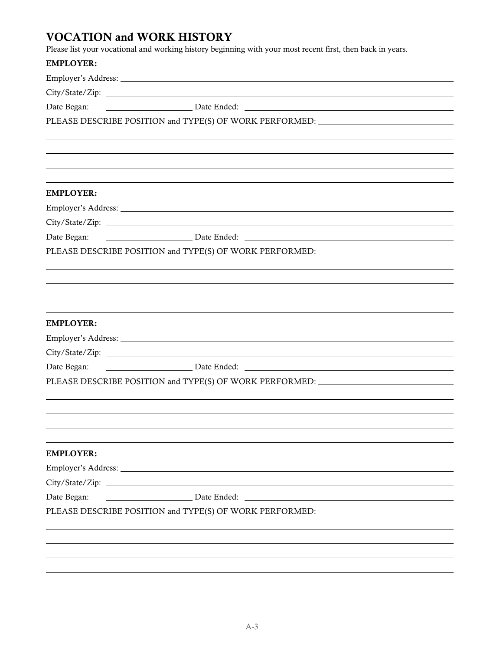# VOCATION and WORK HISTORY

Please list your vocational and working history beginning with your most recent first, then back in years.

| <b>EMPLOYER:</b> |                                                                                                                                                                                                                                |  |
|------------------|--------------------------------------------------------------------------------------------------------------------------------------------------------------------------------------------------------------------------------|--|
|                  |                                                                                                                                                                                                                                |  |
|                  |                                                                                                                                                                                                                                |  |
| Date Began:      | Date Ended: Natural Communication of Date Ended:                                                                                                                                                                               |  |
|                  | PLEASE DESCRIBE POSITION and TYPE(S) OF WORK PERFORMED: _________________________                                                                                                                                              |  |
|                  |                                                                                                                                                                                                                                |  |
|                  |                                                                                                                                                                                                                                |  |
|                  |                                                                                                                                                                                                                                |  |
| <b>EMPLOYER:</b> |                                                                                                                                                                                                                                |  |
|                  |                                                                                                                                                                                                                                |  |
|                  |                                                                                                                                                                                                                                |  |
| Date Began:      |                                                                                                                                                                                                                                |  |
|                  | PLEASE DESCRIBE POSITION and TYPE(S) OF WORK PERFORMED:                                                                                                                                                                        |  |
|                  |                                                                                                                                                                                                                                |  |
|                  | ,我们也不会有什么。""我们的人,我们也不会有什么?""我们的人,我们也不会有什么?""我们的人,我们也不会有什么?""我们的人,我们也不会有什么?""我们的人                                                                                                                                               |  |
|                  |                                                                                                                                                                                                                                |  |
| <b>EMPLOYER:</b> |                                                                                                                                                                                                                                |  |
|                  |                                                                                                                                                                                                                                |  |
|                  |                                                                                                                                                                                                                                |  |
| Date Began:      | Date Ended: Natural Management of Date Ended: Natural Management of the United States of the United States and Date Ended: Natural Management of the United States and Date Ended: Natural Management of the United States and |  |
|                  | PLEASE DESCRIBE POSITION and TYPE(S) OF WORK PERFORMED: _________________________                                                                                                                                              |  |
|                  |                                                                                                                                                                                                                                |  |
|                  |                                                                                                                                                                                                                                |  |
|                  |                                                                                                                                                                                                                                |  |
|                  |                                                                                                                                                                                                                                |  |
| <b>EMPLOYER:</b> |                                                                                                                                                                                                                                |  |
|                  |                                                                                                                                                                                                                                |  |
|                  |                                                                                                                                                                                                                                |  |
| Date Began:      |                                                                                                                                                                                                                                |  |
|                  | PLEASE DESCRIBE POSITION and TYPE(S) OF WORK PERFORMED: _________________________                                                                                                                                              |  |
|                  |                                                                                                                                                                                                                                |  |
|                  |                                                                                                                                                                                                                                |  |
|                  |                                                                                                                                                                                                                                |  |
|                  |                                                                                                                                                                                                                                |  |
|                  |                                                                                                                                                                                                                                |  |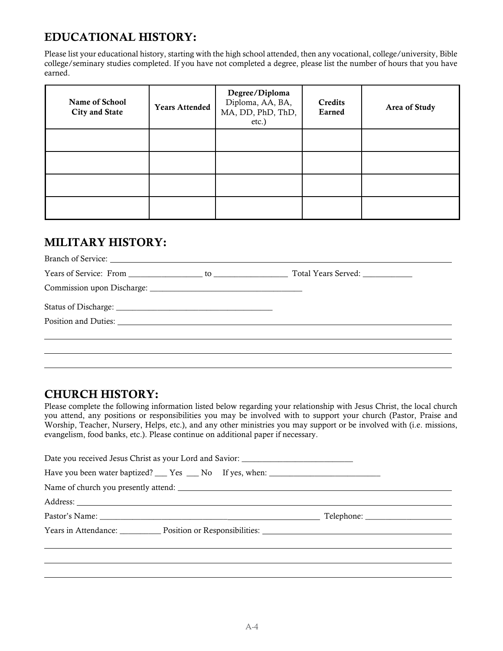# EDUCATIONAL HISTORY:

Please list your educational history, starting with the high school attended, then any vocational, college/university, Bible college/seminary studies completed. If you have not completed a degree, please list the number of hours that you have earned.

| Name of School<br>City and State | <b>Years Attended</b> | Degree/Diploma<br>Diploma, AA, BA,<br>MA, DD, PhD, ThD,<br>etc.) | Credits<br>Earned | Area of Study |
|----------------------------------|-----------------------|------------------------------------------------------------------|-------------------|---------------|
|                                  |                       |                                                                  |                   |               |
|                                  |                       |                                                                  |                   |               |
|                                  |                       |                                                                  |                   |               |
|                                  |                       |                                                                  |                   |               |

### MILITARY HISTORY:

## CHURCH HISTORY:

Please complete the following information listed below regarding your relationship with Jesus Christ, the local church you attend, any positions or responsibilities you may be involved with to support your church (Pastor, Praise and Worship, Teacher, Nursery, Helps, etc.), and any other ministries you may support or be involved with (i.e. missions, evangelism, food banks, etc.). Please continue on additional paper if necessary.

| Date you received Jesus Christ as your Lord and Savior: _________________________                |  |
|--------------------------------------------------------------------------------------------------|--|
| Have you been water baptized? ___ Yes ___ No If yes, when: ______________________                |  |
| Name of church you presently attend:                                                             |  |
|                                                                                                  |  |
|                                                                                                  |  |
| Years in Attendance: Position or Responsibilities: Vears in Attendance: New Years in Attendance: |  |
|                                                                                                  |  |
|                                                                                                  |  |
|                                                                                                  |  |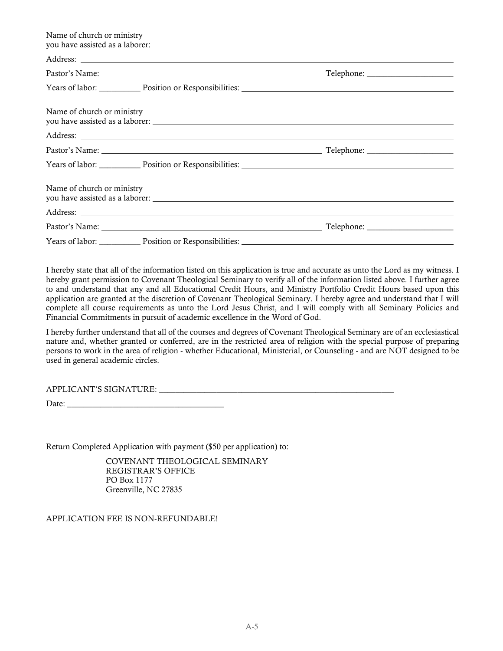| Name of church or ministry                                        |  |
|-------------------------------------------------------------------|--|
|                                                                   |  |
|                                                                   |  |
| Years of labor: Position or Responsibilities: New Years of labor: |  |
| Name of church or ministry                                        |  |
|                                                                   |  |
|                                                                   |  |
| Years of labor: Position or Responsibilities: New Years of labor: |  |
| Name of church or ministry                                        |  |
|                                                                   |  |
|                                                                   |  |
| Years of labor: Position or Responsibilities: New Years of labor: |  |

I hereby state that all of the information listed on this application is true and accurate as unto the Lord as my witness. I hereby grant permission to Covenant Theological Seminary to verify all of the information listed above. I further agree to and understand that any and all Educational Credit Hours, and Ministry Portfolio Credit Hours based upon this application are granted at the discretion of Covenant Theological Seminary. I hereby agree and understand that I will complete all course requirements as unto the Lord Jesus Christ, and I will comply with all Seminary Policies and Financial Commitments in pursuit of academic excellence in the Word of God.

I hereby further understand that all of the courses and degrees of Covenant Theological Seminary are of an ecclesiastical nature and, whether granted or conferred, are in the restricted area of religion with the special purpose of preparing persons to work in the area of religion - whether Educational, Ministerial, or Counseling - and are NOT designed to be used in general academic circles.

| APPLICANT'S SIGNATURE: |  |
|------------------------|--|
|                        |  |

Date: \_\_\_\_\_\_\_\_\_\_\_\_\_\_\_\_\_\_\_\_\_\_\_\_\_\_\_\_\_\_\_\_\_\_\_\_\_\_

Return Completed Application with payment (\$50 per application) to:

 COVENANT THEOLOGICAL SEMINARY REGISTRAR'S OFFICE PO Box 1177 Greenville, NC 27835

APPLICATION FEE IS NON-REFUNDABLE!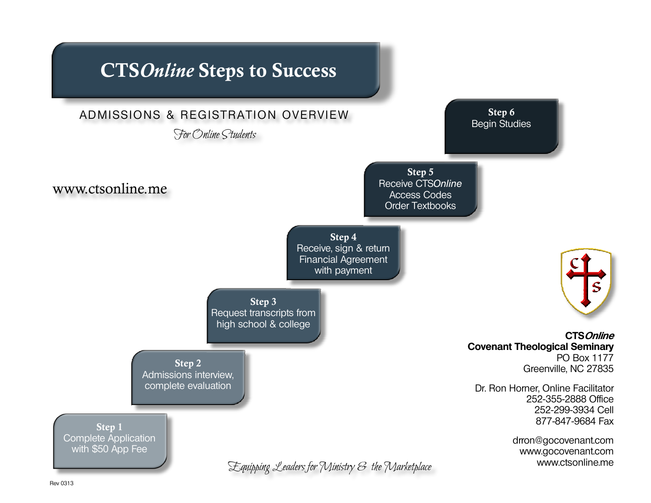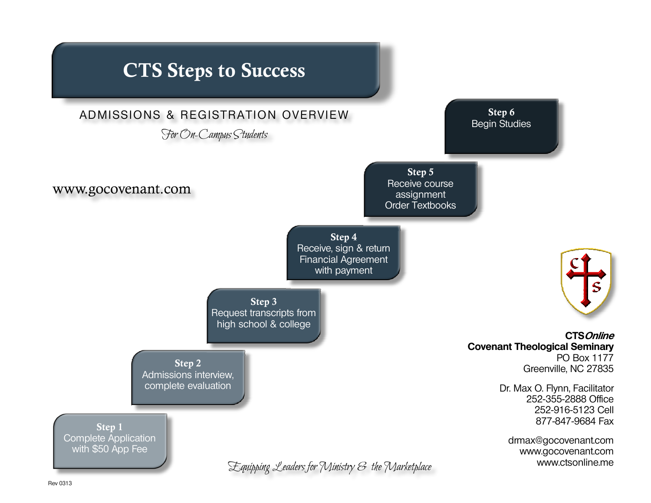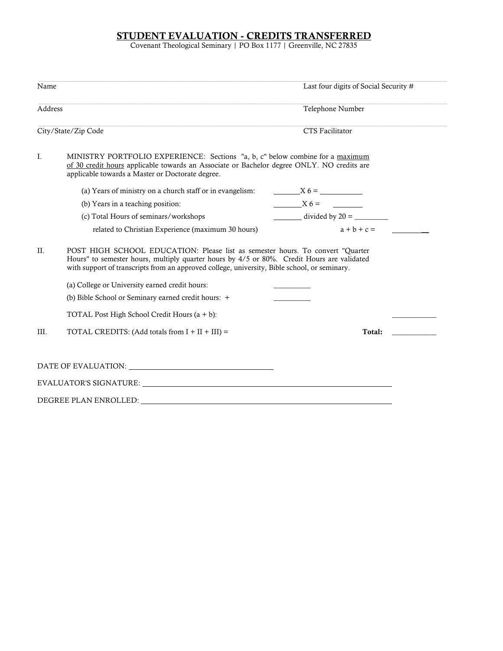### STUDENT EVALUATION - CREDITS TRANSFERRED

Covenant Theological Seminary | PO Box 1177 | Greenville, NC 27835

| Name    |                                                                                                                                                                                                                                                                               | Last four digits of Social Security # |
|---------|-------------------------------------------------------------------------------------------------------------------------------------------------------------------------------------------------------------------------------------------------------------------------------|---------------------------------------|
| Address |                                                                                                                                                                                                                                                                               | Telephone Number                      |
|         | City/State/Zip Code                                                                                                                                                                                                                                                           | CTS Facilitator                       |
| Ι.      | MINISTRY PORTFOLIO EXPERIENCE: Sections "a, b, c" below combine for a maximum<br>of 30 credit hours applicable towards an Associate or Bachelor degree ONLY. NO credits are<br>applicable towards a Master or Doctorate degree.                                               |                                       |
|         | (a) Years of ministry on a church staff or in evangelism:                                                                                                                                                                                                                     | $X6 =$                                |
|         | (b) Years in a teaching position:                                                                                                                                                                                                                                             | $X6 =$                                |
|         | (c) Total Hours of seminars/workshops                                                                                                                                                                                                                                         | $divided by 20 =$                     |
|         | related to Christian Experience (maximum 30 hours)                                                                                                                                                                                                                            | $a + b + c =$                         |
| $\Pi$ . | POST HIGH SCHOOL EDUCATION: Please list as semester hours. To convert "Quarter"<br>Hours" to semester hours, multiply quarter hours by 4/5 or 80%. Credit Hours are validated<br>with support of transcripts from an approved college, university, Bible school, or seminary. |                                       |
|         | (a) College or University earned credit hours:                                                                                                                                                                                                                                |                                       |
|         | (b) Bible School or Seminary earned credit hours: +                                                                                                                                                                                                                           |                                       |
|         | TOTAL Post High School Credit Hours $(a + b)$ :                                                                                                                                                                                                                               |                                       |
| III.    | TOTAL CREDITS: (Add totals from $I + II + III$ ) =                                                                                                                                                                                                                            | Total:                                |
|         |                                                                                                                                                                                                                                                                               |                                       |
|         |                                                                                                                                                                                                                                                                               |                                       |
|         |                                                                                                                                                                                                                                                                               |                                       |
|         |                                                                                                                                                                                                                                                                               |                                       |
|         | DEGREE PLAN ENROLLED:                                                                                                                                                                                                                                                         |                                       |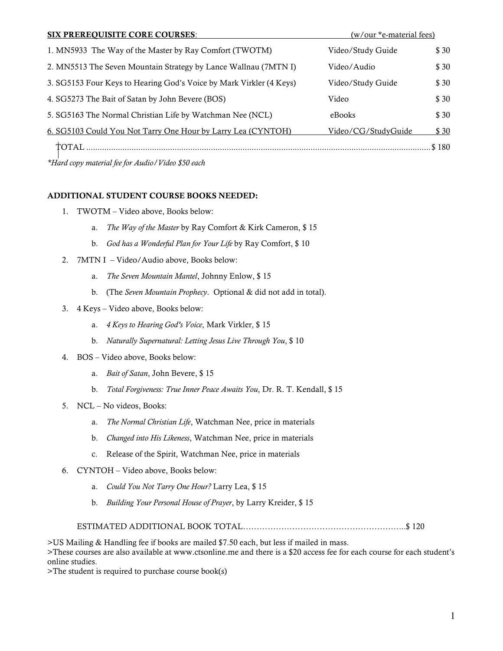| <b>SIX PREREQUISITE CORE COURSES:</b>                               | (w/our *e-material fees) |       |
|---------------------------------------------------------------------|--------------------------|-------|
| 1. MN5933 The Way of the Master by Ray Comfort (TWOTM)              | Video/Study Guide        | \$30  |
| 2. MN5513 The Seven Mountain Strategy by Lance Wallnau (7MTN I)     | Video/Audio              | \$30  |
| 3. SG5153 Four Keys to Hearing God's Voice by Mark Virkler (4 Keys) | Video/Study Guide        | \$30  |
| 4. SG5273 The Bait of Satan by John Bevere (BOS)                    | Video                    | \$30  |
| 5. SG5163 The Normal Christian Life by Watchman Nee (NCL)           | eBooks                   | \$30  |
| 6. SG5103 Could You Not Tarry One Hour by Larry Lea (CYNTOH)        | Video/CG/StudyGuide      | \$30  |
| TOTAL                                                               |                          | \$180 |

\*Hard copy material fee for Audio/Video \$50 each

#### ADDITIONAL STUDENT COURSE BOOKS NEEDED:

- 1. TWOTM Video above, Books below:
	- a. The Way of the Master by Ray Comfort & Kirk Cameron, \$ 15
	- b. God has a Wonderful Plan for Your Life by Ray Comfort, \$10
- 2. 7MTN I Video/Audio above, Books below:
	- a. The Seven Mountain Mantel, Johnny Enlow, \$ 15
	- b. (The Seven Mountain Prophecy. Optional & did not add in total).
- 3. 4 Keys Video above, Books below:
	- a. 4 Keys to Hearing God's Voice, Mark Virkler, \$ 15
	- b. Naturally Supernatural: Letting Jesus Live Through You, \$ 10
- 4. BOS Video above, Books below:
	- a. Bait of Satan, John Bevere, \$ 15
	- b. Total Forgiveness: True Inner Peace Awaits You, Dr. R. T. Kendall, \$15
- 5. NCL No videos, Books:
	- a. The Normal Christian Life, Watchman Nee, price in materials
	- b. Changed into His Likeness, Watchman Nee, price in materials
	- c. Release of the Spirit, Watchman Nee, price in materials
- 6. CYNTOH Video above, Books below:
	- a. Could You Not Tarry One Hour? Larry Lea, \$ 15
	- b. Building Your Personal House of Prayer, by Larry Kreider, \$ 15

#### ESTIMATED ADDITIONAL BOOK TOTAL…………………………………………………...\$ 120

>US Mailing & Handling fee if books are mailed \$7.50 each, but less if mailed in mass. >These courses are also available at www.ctsonline.me and there is a \$20 access fee for each course for each student's online studies.

>The student is required to purchase course book(s)